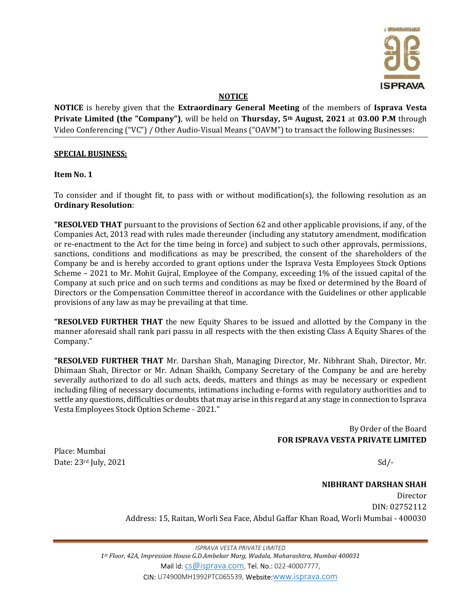

## NOTICE

NOTICE is hereby given that the Extraordinary General Meeting of the members of Isprava Vesta Private Limited (the "Company"), will be held on Thursday, 5<sup>th</sup> August, 2021 at 03.00 P.M through Video Conferencing ("VC") / Other Audio-Visual Means ("OAVM") to transact the following Businesses:

#### SPECIAL BUSINESS:

Item No. 1

To consider and if thought fit, to pass with or without modification(s), the following resolution as an Ordinary Resolution:

"RESOLVED THAT pursuant to the provisions of Section 62 and other applicable provisions, if any, of the Companies Act, 2013 read with rules made thereunder (including any statutory amendment, modification or re-enactment to the Act for the time being in force) and subject to such other approvals, permissions, sanctions, conditions and modifications as may be prescribed, the consent of the shareholders of the Company be and is hereby accorded to grant options under the Isprava Vesta Employees Stock Options Scheme – 2021 to Mr. Mohit Gujral, Employee of the Company, exceeding 1% of the issued capital of the Company at such price and on such terms and conditions as may be fixed or determined by the Board of Directors or the Compensation Committee thereof in accordance with the Guidelines or other applicable provisions of any law as may be prevailing at that time.

"RESOLVED FURTHER THAT the new Equity Shares to be issued and allotted by the Company in the manner aforesaid shall rank pari passu in all respects with the then existing Class A Equity Shares of the Company."

"RESOLVED FURTHER THAT Mr. Darshan Shah, Managing Director, Mr. Nibhrant Shah, Director, Mr. Dhimaan Shah, Director or Mr. Adnan Shaikh, Company Secretary of the Company be and are hereby severally authorized to do all such acts, deeds, matters and things as may be necessary or expedient including filing of necessary documents, intimations including e-forms with regulatory authorities and to settle any questions, difficulties or doubts that may arise in this regard at any stage in connection to Isprava Vesta Employees Stock Option Scheme - 2021."

> By Order of the Board FOR ISPRAVA VESTA PRIVATE LIMITED

Place: Mumbai Date:  $23rd$  July,  $2021$  Sd/-

NIBHRANT DARSHAN SHAH Director DIN: 02752112 Address: 15, Raitan, Worli Sea Face, Abdul Gaffar Khan Road, Worli Mumbai - 400030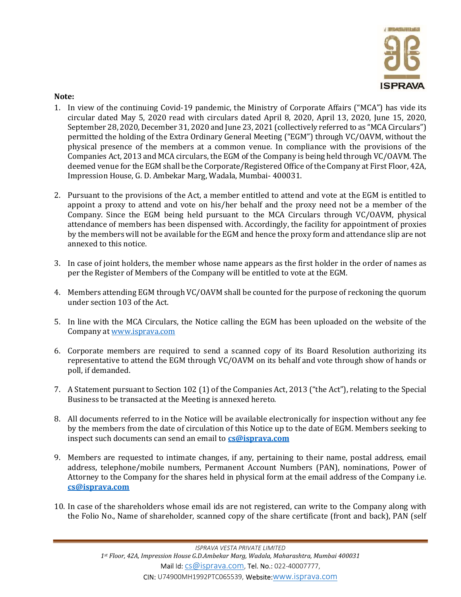

## Note:

- 1. In view of the continuing Covid-19 pandemic, the Ministry of Corporate Affairs ("MCA") has vide its circular dated May 5, 2020 read with circulars dated April 8, 2020, April 13, 2020, June 15, 2020, September 28, 2020, December 31, 2020 and June 23, 2021 (collectively referred to as "MCA Circulars") permitted the holding of the Extra Ordinary General Meeting ("EGM") through VC/OAVM, without the physical presence of the members at a common venue. In compliance with the provisions of the Companies Act, 2013 and MCA circulars, the EGM of the Company is being held through VC/OAVM. The deemed venue for the EGM shall be the Corporate/Registered Office of the Company at First Floor, 42A, Impression House, G. D. Ambekar Marg, Wadala, Mumbai- 400031.
- 2. Pursuant to the provisions of the Act, a member entitled to attend and vote at the EGM is entitled to appoint a proxy to attend and vote on his/her behalf and the proxy need not be a member of the Company. Since the EGM being held pursuant to the MCA Circulars through VC/OAVM, physical attendance of members has been dispensed with. Accordingly, the facility for appointment of proxies by the members will not be available for the EGM and hence the proxy form and attendance slip are not annexed to this notice.
- 3. In case of joint holders, the member whose name appears as the first holder in the order of names as per the Register of Members of the Company will be entitled to vote at the EGM.
- 4. Members attending EGM through VC/OAVM shall be counted for the purpose of reckoning the quorum under section 103 of the Act.
- 5. In line with the MCA Circulars, the Notice calling the EGM has been uploaded on the website of the Company at www.isprava.com
- 6. Corporate members are required to send a scanned copy of its Board Resolution authorizing its representative to attend the EGM through VC/OAVM on its behalf and vote through show of hands or poll, if demanded.
- 7. A Statement pursuant to Section 102 (1) of the Companies Act, 2013 ("the Act"), relating to the Special Business to be transacted at the Meeting is annexed hereto.
- 8. All documents referred to in the Notice will be available electronically for inspection without any fee by the members from the date of circulation of this Notice up to the date of EGM. Members seeking to inspect such documents can send an email to **cs@isprava.com**
- 9. Members are requested to intimate changes, if any, pertaining to their name, postal address, email address, telephone/mobile numbers, Permanent Account Numbers (PAN), nominations, Power of Attorney to the Company for the shares held in physical form at the email address of the Company i.e. cs@isprava.com
- 10. In case of the shareholders whose email ids are not registered, can write to the Company along with the Folio No., Name of shareholder, scanned copy of the share certificate (front and back), PAN (self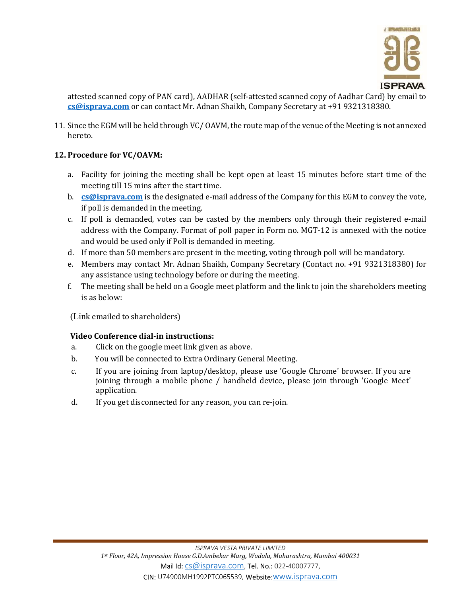

attested scanned copy of PAN card), AADHAR (self-attested scanned copy of Aadhar Card) by email to cs@isprava.com or can contact Mr. Adnan Shaikh, Company Secretary at +91 9321318380.

11. Since the EGM will be held through VC/ OAVM, the route map of the venue of the Meeting is not annexed hereto.

## 12. Procedure for VC/OAVM:

- a. Facility for joining the meeting shall be kept open at least 15 minutes before start time of the meeting till 15 mins after the start time.
- b.  $\cos\omega$  cs  $\cos\omega$  is the designated e-mail address of the Company for this EGM to convey the vote, if poll is demanded in the meeting.
- c. If poll is demanded, votes can be casted by the members only through their registered e-mail address with the Company. Format of poll paper in Form no. MGT-12 is annexed with the notice and would be used only if Poll is demanded in meeting.
- d. If more than 50 members are present in the meeting, voting through poll will be mandatory.
- e. Members may contact Mr. Adnan Shaikh, Company Secretary (Contact no. +91 9321318380) for any assistance using technology before or during the meeting.
- f. The meeting shall be held on a Google meet platform and the link to join the shareholders meeting is as below:

(Link emailed to shareholders)

## Video Conference dial-in instructions:

- a. Click on the google meet link given as above.
- b. You will be connected to Extra Ordinary General Meeting.
- c. If you are joining from laptop/desktop, please use 'Google Chrome' browser. If you are joining through a mobile phone / handheld device, please join through 'Google Meet' application.
- d. If you get disconnected for any reason, you can re-join.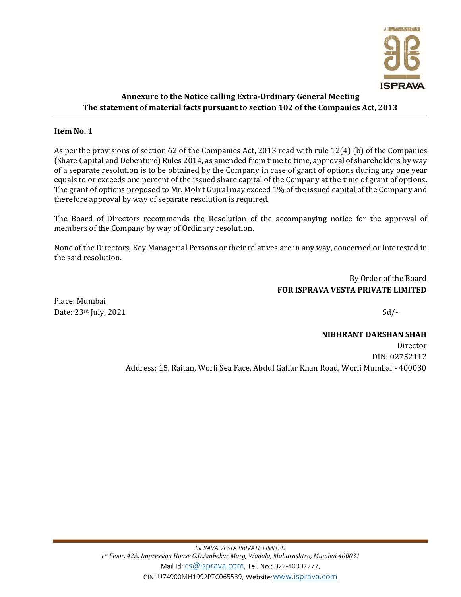

# Annexure to the Notice calling Extra-Ordinary General Meeting The statement of material facts pursuant to section 102 of the Companies Act, 2013

## Item No. 1

As per the provisions of section 62 of the Companies Act, 2013 read with rule 12(4) (b) of the Companies (Share Capital and Debenture) Rules 2014, as amended from time to time, approval of shareholders by way of a separate resolution is to be obtained by the Company in case of grant of options during any one year equals to or exceeds one percent of the issued share capital of the Company at the time of grant of options. The grant of options proposed to Mr. Mohit Gujral may exceed 1% of the issued capital of the Company and therefore approval by way of separate resolution is required.

The Board of Directors recommends the Resolution of the accompanying notice for the approval of members of the Company by way of Ordinary resolution.

None of the Directors, Key Managerial Persons or their relatives are in any way, concerned or interested in the said resolution.

> By Order of the Board FOR ISPRAVA VESTA PRIVATE LIMITED

Place: Mumbai Date:  $23rd$  July,  $2021$  Sd/-

# NIBHRANT DARSHAN SHAH

Director DIN: 02752112 Address: 15, Raitan, Worli Sea Face, Abdul Gaffar Khan Road, Worli Mumbai - 400030